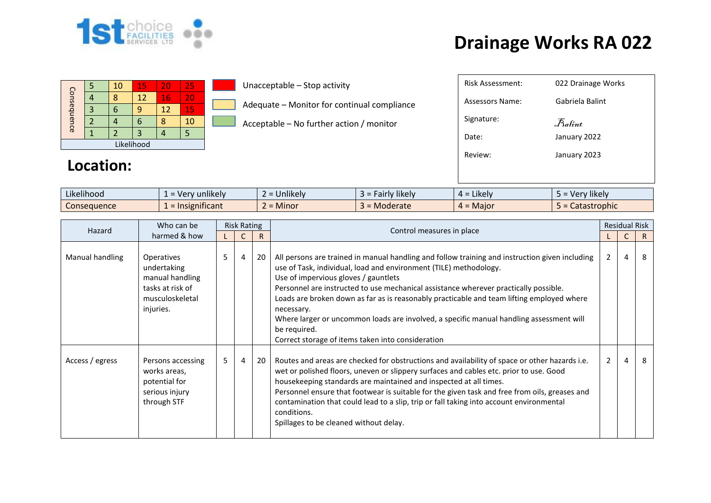

| Consequence |  | 10 | 15 | 20 | 25 |  |  |  |  |
|-------------|--|----|----|----|----|--|--|--|--|
|             |  |    | 12 | 16 | 20 |  |  |  |  |
|             |  |    | q  | 12 | 15 |  |  |  |  |
|             |  |    | 6  |    | 10 |  |  |  |  |
|             |  |    |    |    |    |  |  |  |  |
| Likelihood  |  |    |    |    |    |  |  |  |  |

**Location:** 

#### Unacceptable – Stop activity

Adequate – Monitor for continual compliance

Acceptable – No further action / monitor

| $\cdot$ $\cdot$ $\cdot$<br>$\cdots$<br>Likelihood | $\cdots$<br>unlikely<br>. $V \cap r$<br>$\sim$ | <b>Jnlikely</b> | $\cdots$<br>* likely <b>*</b><br>$\sim$<br>au | ⊿ikelv i     | $\cdots$<br><b>Hikely</b><br>،۱۵۲۱ |
|---------------------------------------------------|------------------------------------------------|-----------------|-----------------------------------------------|--------------|------------------------------------|
| Consequence                                       | isignificant                                   | <b>Minor</b>    | Moderate                                      | Maior<br>$-$ | Catastrophic<br>---                |

| Who can be<br>Hazard<br>harmed & how |                                                                                                  |   | <b>Risk Rating</b> |     |                                                                                                                                                                                                                                                                                                                                                                                                                                                                                                                                                                                | <b>Residual Risk</b> |   |    |  |
|--------------------------------------|--------------------------------------------------------------------------------------------------|---|--------------------|-----|--------------------------------------------------------------------------------------------------------------------------------------------------------------------------------------------------------------------------------------------------------------------------------------------------------------------------------------------------------------------------------------------------------------------------------------------------------------------------------------------------------------------------------------------------------------------------------|----------------------|---|----|--|
|                                      |                                                                                                  |   | C                  | R   | Control measures in place                                                                                                                                                                                                                                                                                                                                                                                                                                                                                                                                                      |                      |   | R. |  |
| Manual handling                      | Operatives<br>undertaking<br>manual handling<br>tasks at risk of<br>musculoskeletal<br>injuries. | 5 | 4                  | 20  | All persons are trained in manual handling and follow training and instruction given including<br>use of Task, individual, load and environment (TILE) methodology.<br>Use of impervious gloves / gauntlets<br>Personnel are instructed to use mechanical assistance wherever practically possible.<br>Loads are broken down as far as is reasonably practicable and team lifting employed where<br>necessary.<br>Where larger or uncommon loads are involved, a specific manual handling assessment will<br>be required.<br>Correct storage of items taken into consideration | $\mathbf{2}$         | 4 | 8  |  |
| Access / egress                      | Persons accessing<br>works areas,<br>potential for<br>serious injury<br>through STF              | 5 | 4                  | -20 | Routes and areas are checked for obstructions and availability of space or other hazards i.e.<br>wet or polished floors, uneven or slippery surfaces and cables etc. prior to use. Good<br>housekeeping standards are maintained and inspected at all times.<br>Personnel ensure that footwear is suitable for the given task and free from oils, greases and<br>contamination that could lead to a slip, trip or fall taking into account environmental<br>conditions.<br>Spillages to be cleaned without delay.                                                              | $2^{\circ}$          | 4 | 8  |  |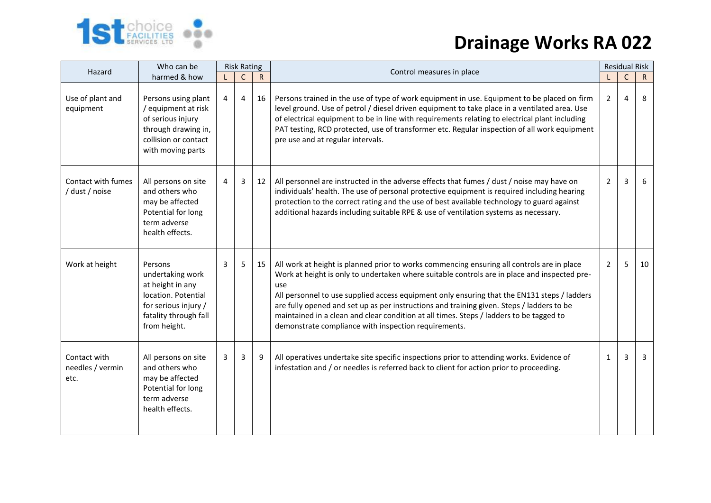

| Who can be<br>Hazard<br>harmed & how     |                                                                                                                                         | <b>Risk Rating</b> |              |              | Control measures in place                                                                                                                                                                                                                                                                                                                                                                                                                                                                                                                        |                 | <b>Residual Risk</b> |              |  |
|------------------------------------------|-----------------------------------------------------------------------------------------------------------------------------------------|--------------------|--------------|--------------|--------------------------------------------------------------------------------------------------------------------------------------------------------------------------------------------------------------------------------------------------------------------------------------------------------------------------------------------------------------------------------------------------------------------------------------------------------------------------------------------------------------------------------------------------|-----------------|----------------------|--------------|--|
|                                          |                                                                                                                                         |                    | $\mathsf{C}$ | $\mathsf{R}$ |                                                                                                                                                                                                                                                                                                                                                                                                                                                                                                                                                  | $\blacklozenge$ | $\mathsf C$          | $\mathsf{R}$ |  |
| Use of plant and<br>equipment            | Persons using plant<br>/ equipment at risk<br>of serious injury<br>through drawing in,<br>collision or contact<br>with moving parts     | 4                  | 4            | 16           | Persons trained in the use of type of work equipment in use. Equipment to be placed on firm<br>level ground. Use of petrol / diesel driven equipment to take place in a ventilated area. Use<br>of electrical equipment to be in line with requirements relating to electrical plant including<br>PAT testing, RCD protected, use of transformer etc. Regular inspection of all work equipment<br>pre use and at regular intervals.                                                                                                              | 2               | 4                    | 8            |  |
| Contact with fumes<br>/ dust / noise     | All persons on site<br>and others who<br>may be affected<br>Potential for long<br>term adverse<br>health effects.                       | 4                  | 3            | 12           | All personnel are instructed in the adverse effects that fumes / dust / noise may have on<br>individuals' health. The use of personal protective equipment is required including hearing<br>protection to the correct rating and the use of best available technology to guard against<br>additional hazards including suitable RPE & use of ventilation systems as necessary.                                                                                                                                                                   | 2               | 3                    | 6            |  |
| Work at height                           | Persons<br>undertaking work<br>at height in any<br>location. Potential<br>for serious injury /<br>fatality through fall<br>from height. | 3                  | 5            | 15           | All work at height is planned prior to works commencing ensuring all controls are in place<br>Work at height is only to undertaken where suitable controls are in place and inspected pre-<br>use<br>All personnel to use supplied access equipment only ensuring that the EN131 steps / ladders<br>are fully opened and set up as per instructions and training given. Steps / ladders to be<br>maintained in a clean and clear condition at all times. Steps / ladders to be tagged to<br>demonstrate compliance with inspection requirements. | $\overline{2}$  | 5                    | 10           |  |
| Contact with<br>needles / vermin<br>etc. | All persons on site<br>and others who<br>may be affected<br>Potential for long<br>term adverse<br>health effects.                       | 3                  | $\mathbf{3}$ | 9            | All operatives undertake site specific inspections prior to attending works. Evidence of<br>infestation and / or needles is referred back to client for action prior to proceeding.                                                                                                                                                                                                                                                                                                                                                              | 1               | 3                    | 3            |  |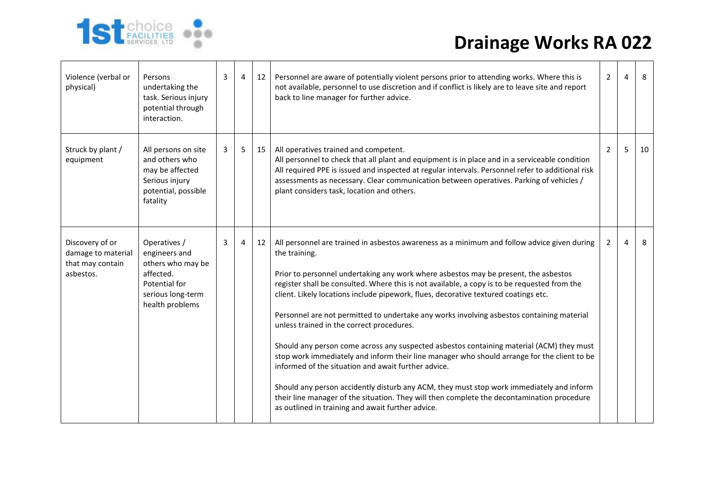

| Violence (verbal or<br>physical)                                       | Persons<br>undertaking the<br>task. Serious injury<br>potential through<br>interaction.                                  | 3 | $\overline{4}$ | 12 | Personnel are aware of potentially violent persons prior to attending works. Where this is<br>not available, personnel to use discretion and if conflict is likely are to leave site and report<br>back to line manager for further advice.                                                                                                                                                                                                                                                                                                                                                                                                                                                                                                                                                                                                                                                                                                                                                                                           | $2^{\circ}$    | 4 | 8  |
|------------------------------------------------------------------------|--------------------------------------------------------------------------------------------------------------------------|---|----------------|----|---------------------------------------------------------------------------------------------------------------------------------------------------------------------------------------------------------------------------------------------------------------------------------------------------------------------------------------------------------------------------------------------------------------------------------------------------------------------------------------------------------------------------------------------------------------------------------------------------------------------------------------------------------------------------------------------------------------------------------------------------------------------------------------------------------------------------------------------------------------------------------------------------------------------------------------------------------------------------------------------------------------------------------------|----------------|---|----|
| Struck by plant /<br>equipment                                         | All persons on site<br>and others who<br>may be affected<br>Serious injury<br>potential, possible<br>fatality            | 3 | 5              | 15 | All operatives trained and competent.<br>All personnel to check that all plant and equipment is in place and in a serviceable condition<br>All required PPE is issued and inspected at regular intervals. Personnel refer to additional risk<br>assessments as necessary. Clear communication between operatives. Parking of vehicles /<br>plant considers task, location and others.                                                                                                                                                                                                                                                                                                                                                                                                                                                                                                                                                                                                                                                 | $\overline{2}$ | 5 | 10 |
| Discovery of or<br>damage to material<br>that may contain<br>asbestos. | Operatives /<br>engineers and<br>others who may be<br>affected.<br>Potential for<br>serious long-term<br>health problems | 3 | 4              | 12 | All personnel are trained in asbestos awareness as a minimum and follow advice given during<br>the training.<br>Prior to personnel undertaking any work where asbestos may be present, the asbestos<br>register shall be consulted. Where this is not available, a copy is to be requested from the<br>client. Likely locations include pipework, flues, decorative textured coatings etc.<br>Personnel are not permitted to undertake any works involving asbestos containing material<br>unless trained in the correct procedures.<br>Should any person come across any suspected asbestos containing material (ACM) they must<br>stop work immediately and inform their line manager who should arrange for the client to be<br>informed of the situation and await further advice.<br>Should any person accidently disturb any ACM, they must stop work immediately and inform<br>their line manager of the situation. They will then complete the decontamination procedure<br>as outlined in training and await further advice. | $\mathbf{2}$   | 4 | 8  |